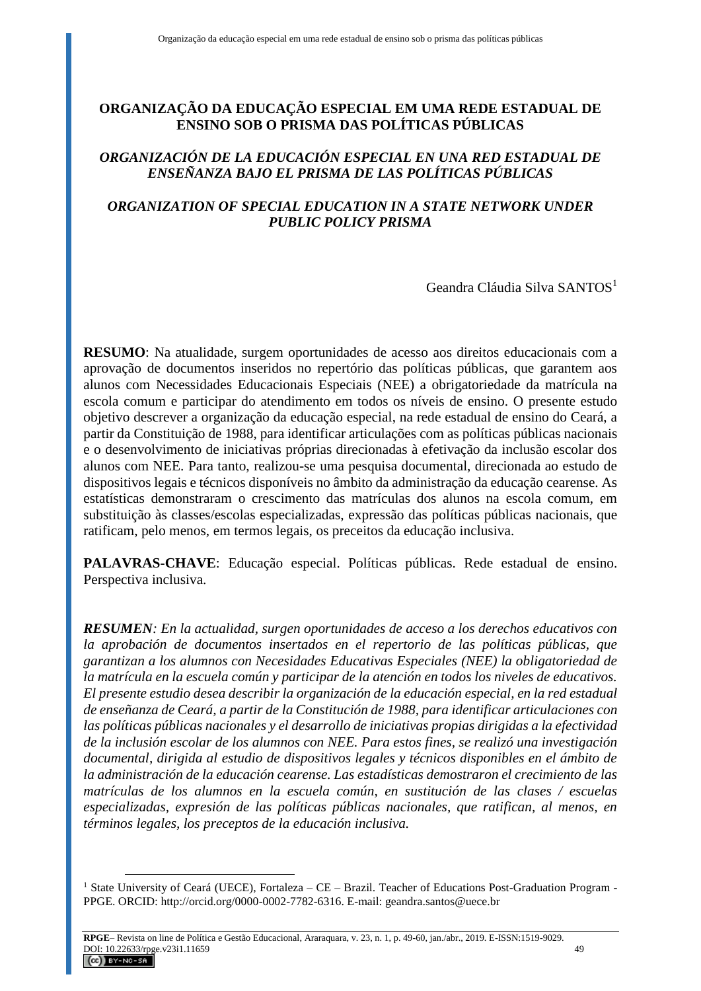# **ORGANIZAÇÃO DA EDUCAÇÃO ESPECIAL EM UMA REDE ESTADUAL DE ENSINO SOB O PRISMA DAS POLÍTICAS PÚBLICAS**

## *ORGANIZACIÓN DE LA EDUCACIÓN ESPECIAL EN UNA RED ESTADUAL DE ENSEÑANZA BAJO EL PRISMA DE LAS POLÍTICAS PÚBLICAS*

# *ORGANIZATION OF SPECIAL EDUCATION IN A STATE NETWORK UNDER PUBLIC POLICY PRISMA*

Geandra Cláudia Silva SANTOS<sup>1</sup>

**RESUMO**: Na atualidade, surgem oportunidades de acesso aos direitos educacionais com a aprovação de documentos inseridos no repertório das políticas públicas, que garantem aos alunos com Necessidades Educacionais Especiais (NEE) a obrigatoriedade da matrícula na escola comum e participar do atendimento em todos os níveis de ensino. O presente estudo objetivo descrever a organização da educação especial, na rede estadual de ensino do Ceará, a partir da Constituição de 1988, para identificar articulações com as políticas públicas nacionais e o desenvolvimento de iniciativas próprias direcionadas à efetivação da inclusão escolar dos alunos com NEE. Para tanto, realizou-se uma pesquisa documental, direcionada ao estudo de dispositivos legais e técnicos disponíveis no âmbito da administração da educação cearense. As estatísticas demonstraram o crescimento das matrículas dos alunos na escola comum, em substituição às classes/escolas especializadas, expressão das políticas públicas nacionais, que ratificam, pelo menos, em termos legais, os preceitos da educação inclusiva.

**PALAVRAS-CHAVE**: Educação especial. Políticas públicas. Rede estadual de ensino. Perspectiva inclusiva.

*RESUMEN: En la actualidad, surgen oportunidades de acceso a los derechos educativos con la aprobación de documentos insertados en el repertorio de las políticas públicas, que garantizan a los alumnos con Necesidades Educativas Especiales (NEE) la obligatoriedad de la matrícula en la escuela común y participar de la atención en todos los niveles de educativos. El presente estudio desea describir la organización de la educación especial, en la red estadual de enseñanza de Ceará, a partir de la Constitución de 1988, para identificar articulaciones con las políticas públicas nacionales y el desarrollo de iniciativas propias dirigidas a la efectividad de la inclusión escolar de los alumnos con NEE. Para estos fines, se realizó una investigación documental, dirigida al estudio de dispositivos legales y técnicos disponibles en el ámbito de la administración de la educación cearense. Las estadísticas demostraron el crecimiento de las matrículas de los alumnos en la escuela común, en sustitución de las clases / escuelas especializadas, expresión de las políticas públicas nacionales, que ratifican, al menos, en términos legales, los preceptos de la educación inclusiva.*

<sup>&</sup>lt;sup>1</sup> State University of Ceará (UECE), Fortaleza – CE – Brazil. Teacher of Educations Post-Graduation Program -PPGE. ORCID: http://orcid.org/0000-0002-7782-6316. E-mail: geandra.santos@uece.br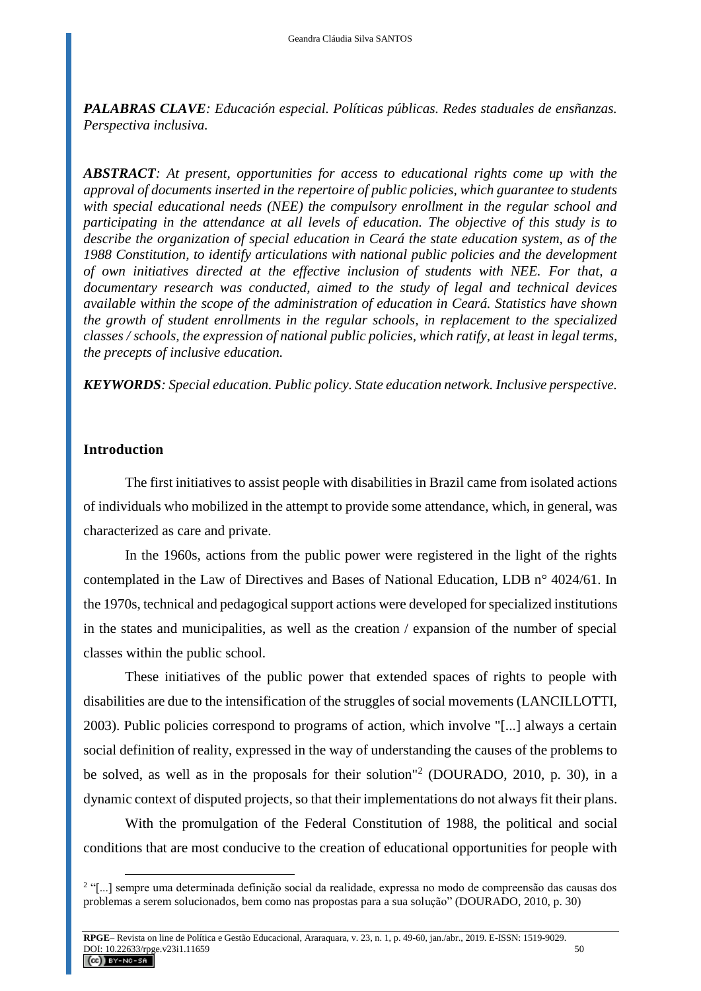*PALABRAS CLAVE: Educación especial. Políticas públicas. Redes staduales de ensñanzas. Perspectiva inclusiva.*

*ABSTRACT: At present, opportunities for access to educational rights come up with the approval of documents inserted in the repertoire of public policies, which guarantee to students with special educational needs (NEE) the compulsory enrollment in the regular school and participating in the attendance at all levels of education. The objective of this study is to describe the organization of special education in Ceará the state education system, as of the 1988 Constitution, to identify articulations with national public policies and the development of own initiatives directed at the effective inclusion of students with NEE. For that, a documentary research was conducted, aimed to the study of legal and technical devices available within the scope of the administration of education in Ceará. Statistics have shown the growth of student enrollments in the regular schools, in replacement to the specialized classes / schools, the expression of national public policies, which ratify, at least in legal terms, the precepts of inclusive education.*

*KEYWORDS: Special education. Public policy. State education network. Inclusive perspective.* 

## **Introduction**

 $\overline{a}$ 

The first initiatives to assist people with disabilities in Brazil came from isolated actions of individuals who mobilized in the attempt to provide some attendance, which, in general, was characterized as care and private.

In the 1960s, actions from the public power were registered in the light of the rights contemplated in the Law of Directives and Bases of National Education, LDB n° 4024/61. In the 1970s, technical and pedagogical support actions were developed for specialized institutions in the states and municipalities, as well as the creation / expansion of the number of special classes within the public school.

These initiatives of the public power that extended spaces of rights to people with disabilities are due to the intensification of the struggles of social movements (LANCILLOTTI, 2003). Public policies correspond to programs of action, which involve "[...] always a certain social definition of reality, expressed in the way of understanding the causes of the problems to be solved, as well as in the proposals for their solution"<sup>2</sup> (DOURADO, 2010, p. 30), in a dynamic context of disputed projects, so that their implementations do not always fit their plans.

With the promulgation of the Federal Constitution of 1988, the political and social conditions that are most conducive to the creation of educational opportunities for people with

<sup>2</sup> "[...] sempre uma determinada definição social da realidade, expressa no modo de compreensão das causas dos problemas a serem solucionados, bem como nas propostas para a sua solução" (DOURADO, 2010, p. 30)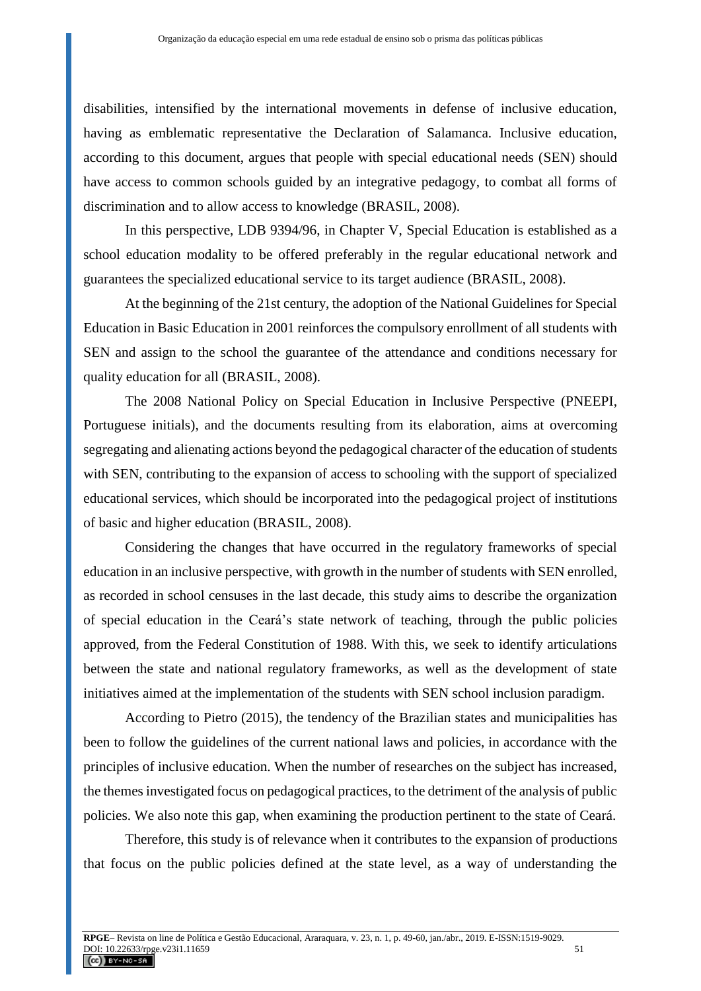disabilities, intensified by the international movements in defense of inclusive education, having as emblematic representative the Declaration of Salamanca. Inclusive education, according to this document, argues that people with special educational needs (SEN) should have access to common schools guided by an integrative pedagogy, to combat all forms of discrimination and to allow access to knowledge (BRASIL, 2008).

In this perspective, LDB 9394/96, in Chapter V, Special Education is established as a school education modality to be offered preferably in the regular educational network and guarantees the specialized educational service to its target audience (BRASIL, 2008).

At the beginning of the 21st century, the adoption of the National Guidelines for Special Education in Basic Education in 2001 reinforces the compulsory enrollment of all students with SEN and assign to the school the guarantee of the attendance and conditions necessary for quality education for all (BRASIL, 2008).

The 2008 National Policy on Special Education in Inclusive Perspective (PNEEPI, Portuguese initials), and the documents resulting from its elaboration, aims at overcoming segregating and alienating actions beyond the pedagogical character of the education of students with SEN, contributing to the expansion of access to schooling with the support of specialized educational services, which should be incorporated into the pedagogical project of institutions of basic and higher education (BRASIL, 2008).

Considering the changes that have occurred in the regulatory frameworks of special education in an inclusive perspective, with growth in the number of students with SEN enrolled, as recorded in school censuses in the last decade, this study aims to describe the organization of special education in the Ceará's state network of teaching, through the public policies approved, from the Federal Constitution of 1988. With this, we seek to identify articulations between the state and national regulatory frameworks, as well as the development of state initiatives aimed at the implementation of the students with SEN school inclusion paradigm.

According to Pietro (2015), the tendency of the Brazilian states and municipalities has been to follow the guidelines of the current national laws and policies, in accordance with the principles of inclusive education. When the number of researches on the subject has increased, the themes investigated focus on pedagogical practices, to the detriment of the analysis of public policies. We also note this gap, when examining the production pertinent to the state of Ceará.

Therefore, this study is of relevance when it contributes to the expansion of productions that focus on the public policies defined at the state level, as a way of understanding the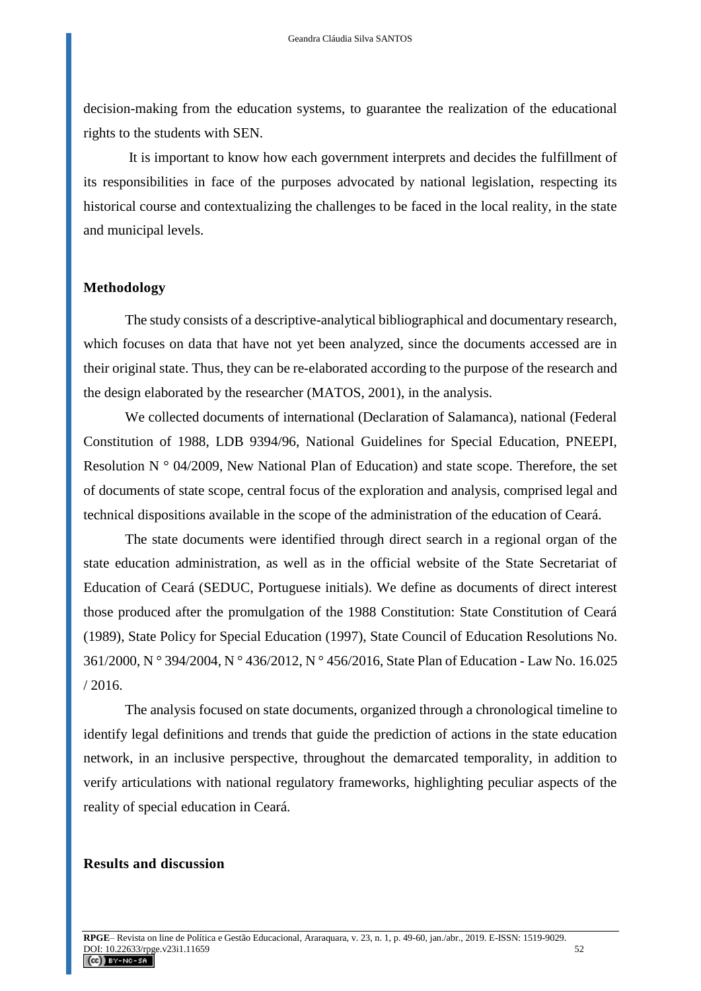decision-making from the education systems, to guarantee the realization of the educational rights to the students with SEN.

It is important to know how each government interprets and decides the fulfillment of its responsibilities in face of the purposes advocated by national legislation, respecting its historical course and contextualizing the challenges to be faced in the local reality, in the state and municipal levels.

#### **Methodology**

The study consists of a descriptive-analytical bibliographical and documentary research, which focuses on data that have not yet been analyzed, since the documents accessed are in their original state. Thus, they can be re-elaborated according to the purpose of the research and the design elaborated by the researcher (MATOS, 2001), in the analysis.

We collected documents of international (Declaration of Salamanca), national (Federal Constitution of 1988, LDB 9394/96, National Guidelines for Special Education, PNEEPI, Resolution N ° 04/2009, New National Plan of Education) and state scope. Therefore, the set of documents of state scope, central focus of the exploration and analysis, comprised legal and technical dispositions available in the scope of the administration of the education of Ceará.

The state documents were identified through direct search in a regional organ of the state education administration, as well as in the official website of the State Secretariat of Education of Ceará (SEDUC, Portuguese initials). We define as documents of direct interest those produced after the promulgation of the 1988 Constitution: State Constitution of Ceará (1989), State Policy for Special Education (1997), State Council of Education Resolutions No. 361/2000, N ° 394/2004, N ° 436/2012, N ° 456/2016, State Plan of Education - Law No. 16.025 / 2016.

The analysis focused on state documents, organized through a chronological timeline to identify legal definitions and trends that guide the prediction of actions in the state education network, in an inclusive perspective, throughout the demarcated temporality, in addition to verify articulations with national regulatory frameworks, highlighting peculiar aspects of the reality of special education in Ceará.

### **Results and discussion**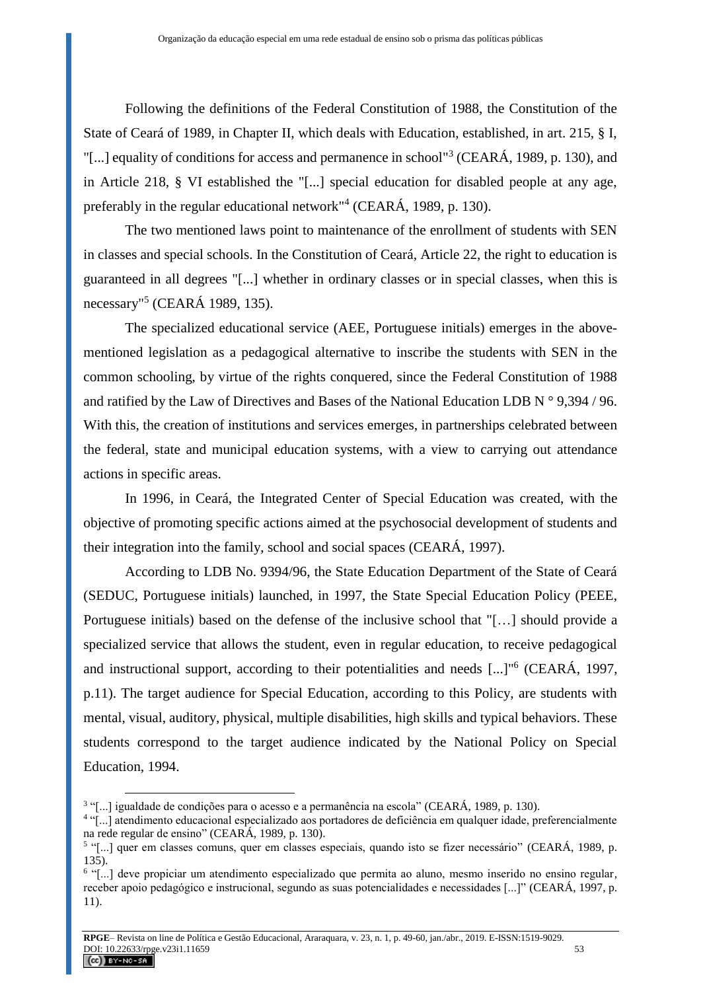Following the definitions of the Federal Constitution of 1988, the Constitution of the State of Ceará of 1989, in Chapter II, which deals with Education, established, in art. 215, § I, "[...] equality of conditions for access and permanence in school"<sup>3</sup> (CEARÁ, 1989, p. 130), and in Article 218, § VI established the "[...] special education for disabled people at any age, preferably in the regular educational network"<sup>4</sup> (CEARÁ, 1989, p. 130).

The two mentioned laws point to maintenance of the enrollment of students with SEN in classes and special schools. In the Constitution of Ceará, Article 22, the right to education is guaranteed in all degrees "[...] whether in ordinary classes or in special classes, when this is necessary"<sup>5</sup> (CEARÁ 1989, 135).

The specialized educational service (AEE, Portuguese initials) emerges in the abovementioned legislation as a pedagogical alternative to inscribe the students with SEN in the common schooling, by virtue of the rights conquered, since the Federal Constitution of 1988 and ratified by the Law of Directives and Bases of the National Education LDB N ° 9,394 / 96. With this, the creation of institutions and services emerges, in partnerships celebrated between the federal, state and municipal education systems, with a view to carrying out attendance actions in specific areas.

In 1996, in Ceará, the Integrated Center of Special Education was created, with the objective of promoting specific actions aimed at the psychosocial development of students and their integration into the family, school and social spaces (CEARÁ, 1997).

According to LDB No. 9394/96, the State Education Department of the State of Ceará (SEDUC, Portuguese initials) launched, in 1997, the State Special Education Policy (PEEE, Portuguese initials) based on the defense of the inclusive school that "[…] should provide a specialized service that allows the student, even in regular education, to receive pedagogical and instructional support, according to their potentialities and needs [...]"<sup>6</sup> (CEARÁ, 1997, p.11). The target audience for Special Education, according to this Policy, are students with mental, visual, auditory, physical, multiple disabilities, high skills and typical behaviors. These students correspond to the target audience indicated by the National Policy on Special Education, 1994.

<sup>3</sup> "[...] igualdade de condições para o acesso e a permanência na escola" (CEARÁ, 1989, p. 130).

<sup>4</sup> "[...] atendimento educacional especializado aos portadores de deficiência em qualquer idade, preferencialmente na rede regular de ensino" (CEARÁ, 1989, p. 130).

<sup>&</sup>lt;sup>5</sup> "[...] quer em classes comuns, quer em classes especiais, quando isto se fizer necessário" (CEARÁ, 1989, p. 135).

<sup>&</sup>lt;sup>6</sup> "[...] deve propiciar um atendimento especializado que permita ao aluno, mesmo inserido no ensino regular, receber apoio pedagógico e instrucional, segundo as suas potencialidades e necessidades [...]" (CEARÁ, 1997, p. 11).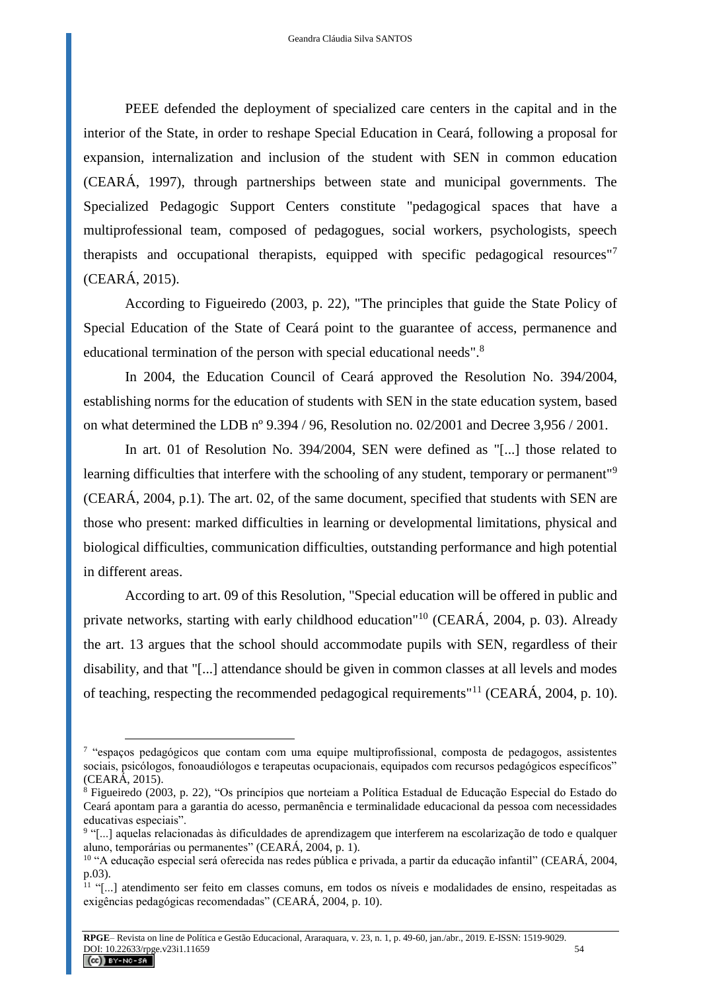PEEE defended the deployment of specialized care centers in the capital and in the interior of the State, in order to reshape Special Education in Ceará, following a proposal for expansion, internalization and inclusion of the student with SEN in common education (CEARÁ, 1997), through partnerships between state and municipal governments. The Specialized Pedagogic Support Centers constitute "pedagogical spaces that have a multiprofessional team, composed of pedagogues, social workers, psychologists, speech therapists and occupational therapists, equipped with specific pedagogical resources"<sup>7</sup> (CEARÁ, 2015).

According to Figueiredo (2003, p. 22), "The principles that guide the State Policy of Special Education of the State of Ceará point to the guarantee of access, permanence and educational termination of the person with special educational needs".<sup>8</sup>

In 2004, the Education Council of Ceará approved the Resolution No. 394/2004, establishing norms for the education of students with SEN in the state education system, based on what determined the LDB nº 9.394 / 96, Resolution no. 02/2001 and Decree 3,956 / 2001.

In art. 01 of Resolution No. 394/2004, SEN were defined as "[...] those related to learning difficulties that interfere with the schooling of any student, temporary or permanent"<sup>9</sup> (CEARÁ, 2004, p.1). The art. 02, of the same document, specified that students with SEN are those who present: marked difficulties in learning or developmental limitations, physical and biological difficulties, communication difficulties, outstanding performance and high potential in different areas.

According to art. 09 of this Resolution, "Special education will be offered in public and private networks, starting with early childhood education"<sup>10</sup> (CEARÁ, 2004, p. 03). Already the art. 13 argues that the school should accommodate pupils with SEN, regardless of their disability, and that "[...] attendance should be given in common classes at all levels and modes of teaching, respecting the recommended pedagogical requirements"<sup>11</sup> (CEARÁ, 2004, p. 10).

<sup>&</sup>lt;sup>7</sup> "espaços pedagógicos que contam com uma equipe multiprofissional, composta de pedagogos, assistentes sociais, psicólogos, fonoaudiólogos e terapeutas ocupacionais, equipados com recursos pedagógicos específicos" (CEARÁ, 2015).

<sup>8</sup> Figueiredo (2003, p. 22), "Os princípios que norteiam a Política Estadual de Educação Especial do Estado do Ceará apontam para a garantia do acesso, permanência e terminalidade educacional da pessoa com necessidades educativas especiais".

<sup>&</sup>lt;sup>9</sup> "[...] aquelas relacionadas às dificuldades de aprendizagem que interferem na escolarização de todo e qualquer aluno, temporárias ou permanentes" (CEARÁ, 2004, p. 1).

<sup>10</sup> "A educação especial será oferecida nas redes pública e privada, a partir da educação infantil" (CEARÁ, 2004, p.03).

 $11$  "[...] atendimento ser feito em classes comuns, em todos os níveis e modalidades de ensino, respeitadas as exigências pedagógicas recomendadas" (CEARÁ, 2004, p. 10).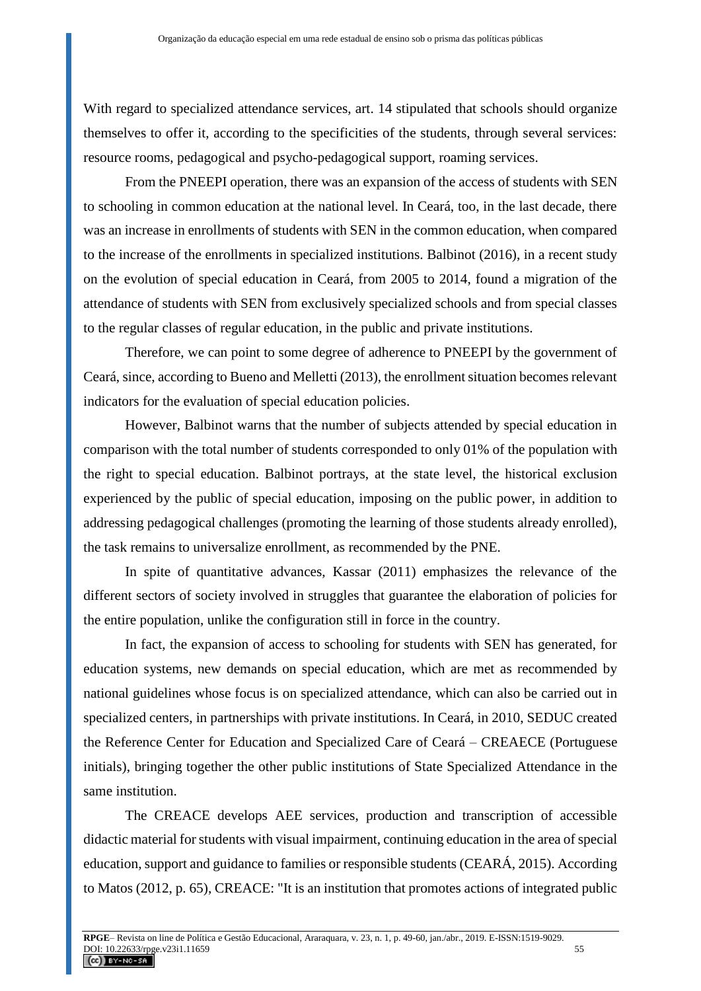With regard to specialized attendance services, art. 14 stipulated that schools should organize themselves to offer it, according to the specificities of the students, through several services: resource rooms, pedagogical and psycho-pedagogical support, roaming services.

From the PNEEPI operation, there was an expansion of the access of students with SEN to schooling in common education at the national level. In Ceará, too, in the last decade, there was an increase in enrollments of students with SEN in the common education, when compared to the increase of the enrollments in specialized institutions. Balbinot (2016), in a recent study on the evolution of special education in Ceará, from 2005 to 2014, found a migration of the attendance of students with SEN from exclusively specialized schools and from special classes to the regular classes of regular education, in the public and private institutions.

Therefore, we can point to some degree of adherence to PNEEPI by the government of Ceará, since, according to Bueno and Melletti (2013), the enrollment situation becomes relevant indicators for the evaluation of special education policies.

However, Balbinot warns that the number of subjects attended by special education in comparison with the total number of students corresponded to only 01% of the population with the right to special education. Balbinot portrays, at the state level, the historical exclusion experienced by the public of special education, imposing on the public power, in addition to addressing pedagogical challenges (promoting the learning of those students already enrolled), the task remains to universalize enrollment, as recommended by the PNE.

In spite of quantitative advances, Kassar (2011) emphasizes the relevance of the different sectors of society involved in struggles that guarantee the elaboration of policies for the entire population, unlike the configuration still in force in the country.

In fact, the expansion of access to schooling for students with SEN has generated, for education systems, new demands on special education, which are met as recommended by national guidelines whose focus is on specialized attendance, which can also be carried out in specialized centers, in partnerships with private institutions. In Ceará, in 2010, SEDUC created the Reference Center for Education and Specialized Care of Ceará – CREAECE (Portuguese initials), bringing together the other public institutions of State Specialized Attendance in the same institution.

The CREACE develops AEE services, production and transcription of accessible didactic material for students with visual impairment, continuing education in the area of special education, support and guidance to families or responsible students (CEARÁ, 2015). According to Matos (2012, p. 65), CREACE: "It is an institution that promotes actions of integrated public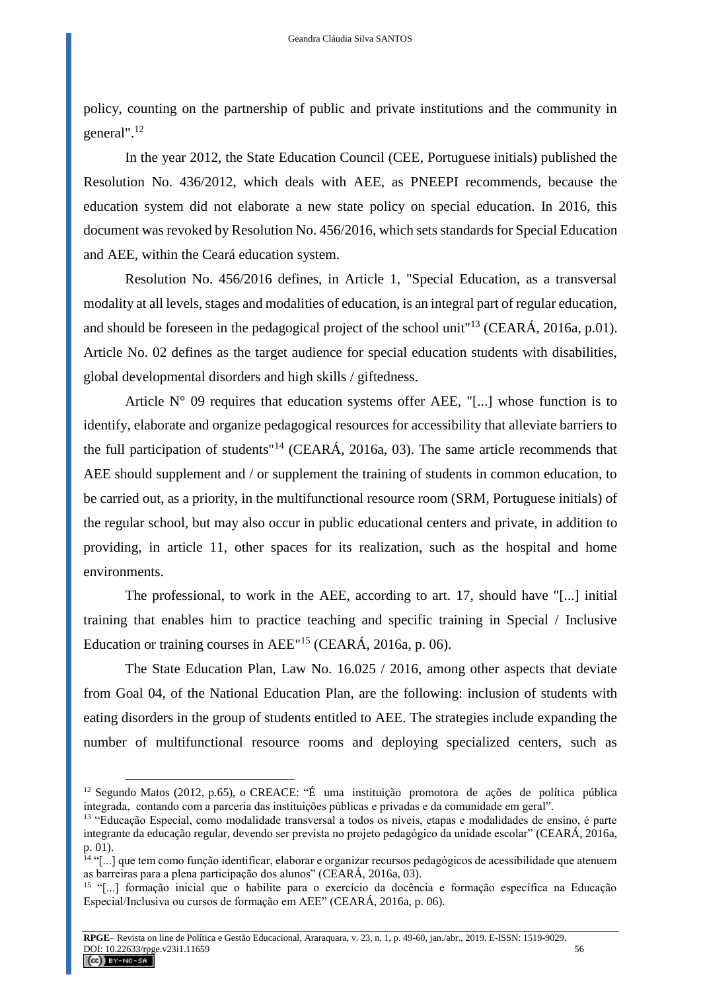policy, counting on the partnership of public and private institutions and the community in general". 12

In the year 2012, the State Education Council (CEE, Portuguese initials) published the Resolution No. 436/2012, which deals with AEE, as PNEEPI recommends, because the education system did not elaborate a new state policy on special education. In 2016, this document was revoked by Resolution No. 456/2016, which sets standards for Special Education and AEE, within the Ceará education system.

Resolution No. 456/2016 defines, in Article 1, "Special Education, as a transversal modality at all levels, stages and modalities of education, is an integral part of regular education, and should be foreseen in the pedagogical project of the school unit"<sup>13</sup> (CEARÁ, 2016a, p.01). Article No. 02 defines as the target audience for special education students with disabilities, global developmental disorders and high skills / giftedness.

Article  $N^{\circ}$  09 requires that education systems offer AEE, "[...] whose function is to identify, elaborate and organize pedagogical resources for accessibility that alleviate barriers to the full participation of students"<sup>14</sup> (CEARÁ, 2016a, 03). The same article recommends that AEE should supplement and / or supplement the training of students in common education, to be carried out, as a priority, in the multifunctional resource room (SRM, Portuguese initials) of the regular school, but may also occur in public educational centers and private, in addition to providing, in article 11, other spaces for its realization, such as the hospital and home environments.

The professional, to work in the AEE, according to art. 17, should have "[...] initial training that enables him to practice teaching and specific training in Special / Inclusive Education or training courses in AEE"<sup>15</sup> (CEARÁ, 2016a, p. 06).

The State Education Plan, Law No. 16.025 / 2016, among other aspects that deviate from Goal 04, of the National Education Plan, are the following: inclusion of students with eating disorders in the group of students entitled to AEE. The strategies include expanding the number of multifunctional resource rooms and deploying specialized centers, such as

<sup>12</sup> Segundo Matos (2012, p.65), o CREACE: "É uma instituição promotora de ações de política pública integrada, contando com a parceria das instituições públicas e privadas e da comunidade em geral".

<sup>13</sup> "Educação Especial, como modalidade transversal a todos os níveis, etapas e modalidades de ensino, é parte integrante da educação regular, devendo ser prevista no projeto pedagógico da unidade escolar" (CEARÁ, 2016a, p. 01).

<sup>14</sup> "[...] que tem como função identificar, elaborar e organizar recursos pedagógicos de acessibilidade que atenuem as barreiras para a plena participação dos alunos" (CEARÁ, 2016a, 03).

<sup>15</sup> "[...] formação inicial que o habilite para o exercício da docência e formação específica na Educação Especial/Inclusiva ou cursos de formação em AEE" (CEARÁ, 2016a, p. 06).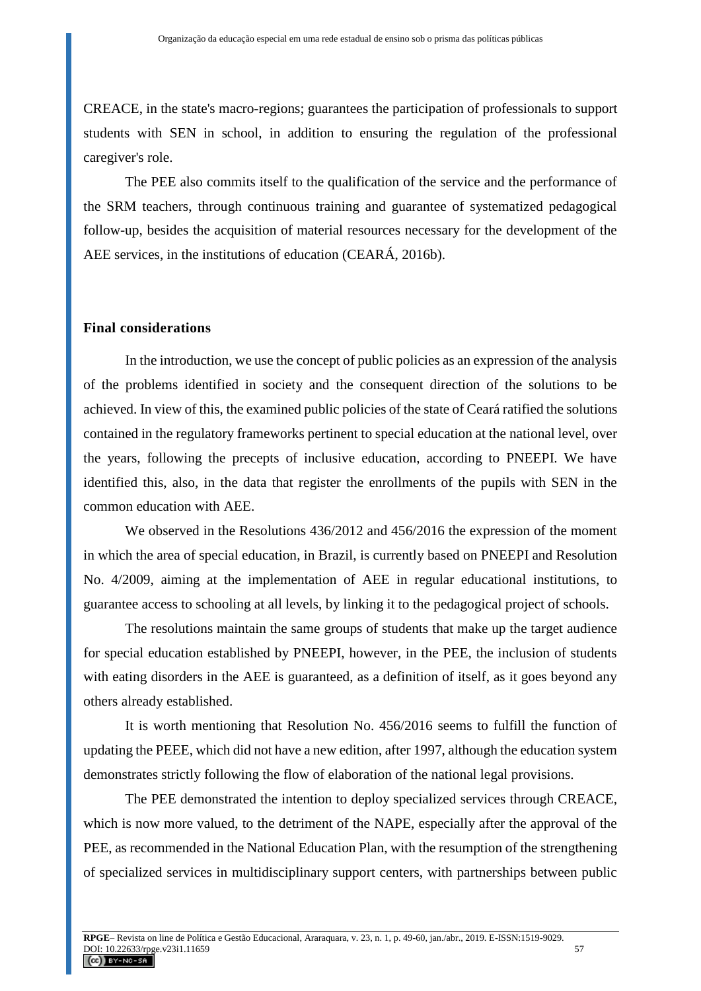CREACE, in the state's macro-regions; guarantees the participation of professionals to support students with SEN in school, in addition to ensuring the regulation of the professional caregiver's role.

The PEE also commits itself to the qualification of the service and the performance of the SRM teachers, through continuous training and guarantee of systematized pedagogical follow-up, besides the acquisition of material resources necessary for the development of the AEE services, in the institutions of education (CEARÁ, 2016b).

### **Final considerations**

In the introduction, we use the concept of public policies as an expression of the analysis of the problems identified in society and the consequent direction of the solutions to be achieved. In view of this, the examined public policies of the state of Ceará ratified the solutions contained in the regulatory frameworks pertinent to special education at the national level, over the years, following the precepts of inclusive education, according to PNEEPI. We have identified this, also, in the data that register the enrollments of the pupils with SEN in the common education with AEE.

We observed in the Resolutions 436/2012 and 456/2016 the expression of the moment in which the area of special education, in Brazil, is currently based on PNEEPI and Resolution No. 4/2009, aiming at the implementation of AEE in regular educational institutions, to guarantee access to schooling at all levels, by linking it to the pedagogical project of schools.

The resolutions maintain the same groups of students that make up the target audience for special education established by PNEEPI, however, in the PEE, the inclusion of students with eating disorders in the AEE is guaranteed, as a definition of itself, as it goes beyond any others already established.

It is worth mentioning that Resolution No. 456/2016 seems to fulfill the function of updating the PEEE, which did not have a new edition, after 1997, although the education system demonstrates strictly following the flow of elaboration of the national legal provisions.

The PEE demonstrated the intention to deploy specialized services through CREACE, which is now more valued, to the detriment of the NAPE, especially after the approval of the PEE, as recommended in the National Education Plan, with the resumption of the strengthening of specialized services in multidisciplinary support centers, with partnerships between public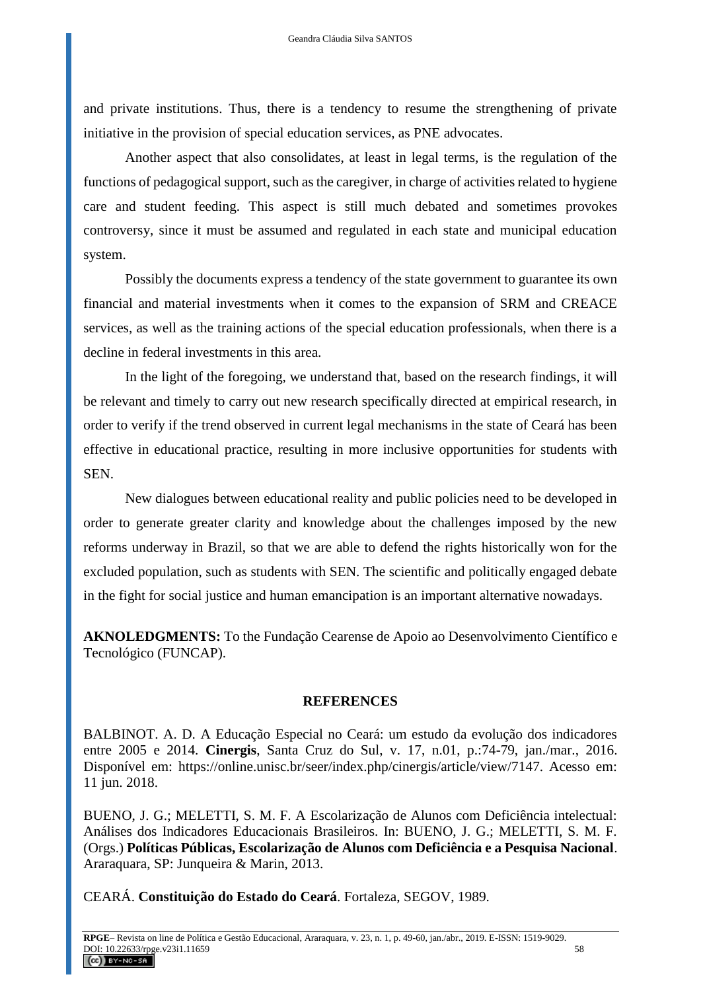and private institutions. Thus, there is a tendency to resume the strengthening of private initiative in the provision of special education services, as PNE advocates.

Another aspect that also consolidates, at least in legal terms, is the regulation of the functions of pedagogical support, such as the caregiver, in charge of activities related to hygiene care and student feeding. This aspect is still much debated and sometimes provokes controversy, since it must be assumed and regulated in each state and municipal education system.

Possibly the documents express a tendency of the state government to guarantee its own financial and material investments when it comes to the expansion of SRM and CREACE services, as well as the training actions of the special education professionals, when there is a decline in federal investments in this area.

In the light of the foregoing, we understand that, based on the research findings, it will be relevant and timely to carry out new research specifically directed at empirical research, in order to verify if the trend observed in current legal mechanisms in the state of Ceará has been effective in educational practice, resulting in more inclusive opportunities for students with SEN.

New dialogues between educational reality and public policies need to be developed in order to generate greater clarity and knowledge about the challenges imposed by the new reforms underway in Brazil, so that we are able to defend the rights historically won for the excluded population, such as students with SEN. The scientific and politically engaged debate in the fight for social justice and human emancipation is an important alternative nowadays.

**AKNOLEDGMENTS:** To the Fundação Cearense de Apoio ao Desenvolvimento Científico e Tecnológico (FUNCAP).

### **REFERENCES**

BALBINOT. A. D. A Educação Especial no Ceará: um estudo da evolução dos indicadores entre 2005 e 2014. **Cinergis**, Santa Cruz do Sul, v. 17, n.01, p.:74-79, jan./mar., 2016. Disponível em: https://online.unisc.br/seer/index.php/cinergis/article/view/7147. Acesso em: 11 jun. 2018.

BUENO, J. G.; MELETTI, S. M. F. A Escolarização de Alunos com Deficiência intelectual: Análises dos Indicadores Educacionais Brasileiros. In: BUENO, J. G.; MELETTI, S. M. F. (Orgs.) **Políticas Públicas, Escolarização de Alunos com Deficiência e a Pesquisa Nacional**. Araraquara, SP: Junqueira & Marin, 2013.

CEARÁ. **Constituição do Estado do Ceará**. Fortaleza, SEGOV, 1989.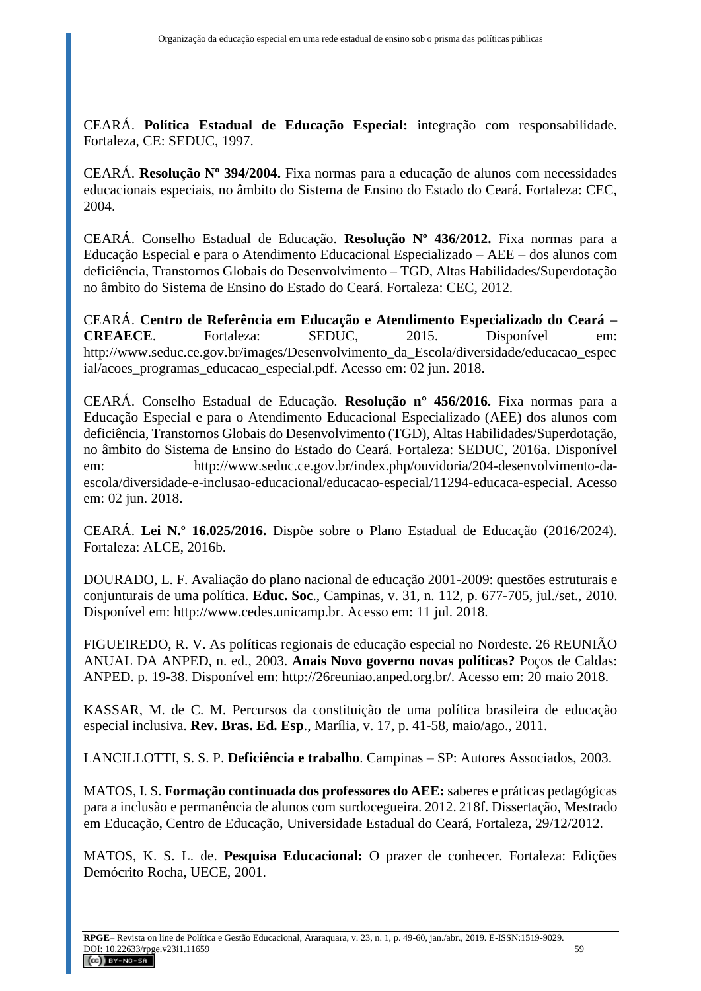CEARÁ. **Política Estadual de Educação Especial:** integração com responsabilidade. Fortaleza, CE: SEDUC, 1997.

CEARÁ. **Resolução Nº 394/2004.** Fixa normas para a educação de alunos com necessidades educacionais especiais, no âmbito do Sistema de Ensino do Estado do Ceará. Fortaleza: CEC, 2004.

CEARÁ. Conselho Estadual de Educação. **Resolução Nº 436/2012.** Fixa normas para a Educação Especial e para o Atendimento Educacional Especializado – AEE – dos alunos com deficiência, Transtornos Globais do Desenvolvimento – TGD, Altas Habilidades/Superdotação no âmbito do Sistema de Ensino do Estado do Ceará. Fortaleza: CEC, 2012.

CEARÁ. **Centro de Referência em Educação e Atendimento Especializado do Ceará – CREAECE**. Fortaleza: SEDUC, 2015. Disponível em: [http://www.seduc.ce.gov.br/images/Desenvolvimento\\_da\\_Escola/diversidade/educacao\\_espec](http://www.seduc.ce.gov.br/images/Desenvolvimento_da_Escola/diversidade/educacao_especial/acoes_programas_educacao_especial.pdf) [ial/acoes\\_programas\\_educacao\\_especial.pdf.](http://www.seduc.ce.gov.br/images/Desenvolvimento_da_Escola/diversidade/educacao_especial/acoes_programas_educacao_especial.pdf) Acesso em: 02 jun. 2018.

CEARÁ. Conselho Estadual de Educação. **Resolução n° 456/2016.** Fixa normas para a Educação Especial e para o Atendimento Educacional Especializado (AEE) dos alunos com deficiência, Transtornos Globais do Desenvolvimento (TGD), Altas Habilidades/Superdotação, no âmbito do Sistema de Ensino do Estado do Ceará. Fortaleza: SEDUC, 2016a. Disponível em: [http://www.seduc.ce.gov.br/index.php/ouvidoria/204-desenvolvimento-da](http://www.seduc.ce.gov.br/index.php/ouvidoria/204-desenvolvimento-da-escola/diversidade-e-inclusao-educacional/educacao-especial/11294-educaca-especial)[escola/diversidade-e-inclusao-educacional/educacao-especial/11294-educaca-especial.](http://www.seduc.ce.gov.br/index.php/ouvidoria/204-desenvolvimento-da-escola/diversidade-e-inclusao-educacional/educacao-especial/11294-educaca-especial) Acesso em: 02 jun. 2018.

CEARÁ. **Lei N.º 16.025/2016.** Dispõe sobre o Plano Estadual de Educação (2016/2024). Fortaleza: ALCE, 2016b.

DOURADO, L. F. Avaliação do plano nacional de educação 2001-2009: questões estruturais e conjunturais de uma política. **Educ. Soc**., Campinas, v. 31, n. 112, p. 677-705, jul./set., 2010. Disponível em: [http://www.cedes.unicamp.br.](http://www.cedes.unicamp.br/) Acesso em: 11 jul. 2018.

FIGUEIREDO, R. V. As políticas regionais de educação especial no Nordeste. 26 REUNIÃO ANUAL DA ANPED, n. ed., 2003. **Anais Novo governo novas políticas?** Poços de Caldas: ANPED. p. 19-38. Disponível em: http://26reuniao.anped.org.br/. Acesso em: 20 maio 2018.

KASSAR, M. de C. M. Percursos da constituição de uma política brasileira de educação especial inclusiva. **Rev. Bras. Ed. Esp**., Marília, v. 17, p. 41-58, maio/ago., 2011.

LANCILLOTTI, S. S. P. **Deficiência e trabalho**. Campinas – SP: Autores Associados, 2003.

MATOS, I. S. **Formação continuada dos professores do AEE:** saberes e práticas pedagógicas para a inclusão e permanência de alunos com surdocegueira. 2012. 218f. Dissertação, Mestrado em Educação, Centro de Educação, Universidade Estadual do Ceará, Fortaleza, 29/12/2012.

MATOS, K. S. L. de. **Pesquisa Educacional:** O prazer de conhecer. Fortaleza: Edições Demócrito Rocha, UECE, 2001.